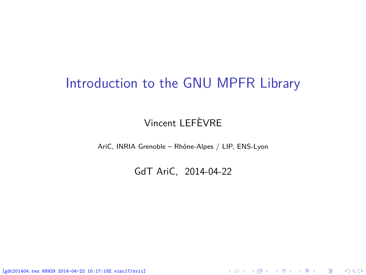### <span id="page-0-0"></span>Introduction to the GNU MPFR Library

#### Vincent LEFÈVRE

AriC, INRIA Grenoble – Rhône-Alpes / LIP, ENS-Lyon

GdT AriC, 2014-04-22

K ロ ▶ K @ ▶ K 할 ▶ K 할 ▶ 이 할 → 900

[gdt201404.tex 68929 2014-04-22 10:17:19Z vinc17/xvii]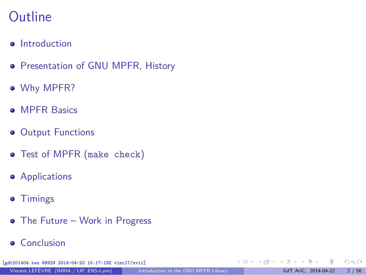# **Outline**

- **o** [Introduction](#page-2-0)
- **[Presentation of GNU MPFR, History](#page-7-0)**
- [Why MPFR?](#page-10-0)
- **[MPFR Basics](#page-24-0)**
- **[Output Functions](#page-31-0)**
- [Test of MPFR \(](#page-34-0)make check)
- **•** [Applications](#page-39-0)
- **•** [Timings](#page-56-0)
- [The Future Work in Progress](#page-58-0)
- **•** [Conclusion](#page-62-0)

[gdt201404.tex 68929 2014-04-22 10:17:19Z vinc17/xvii]

э

 $QQ$ 

 $\left\{ \begin{array}{ccc} 1 & 0 & 0 \\ 0 & 1 & 0 \end{array} \right.$  ,  $\left\{ \begin{array}{ccc} \frac{1}{2} & 0 & 0 \\ 0 & 0 & 0 \end{array} \right.$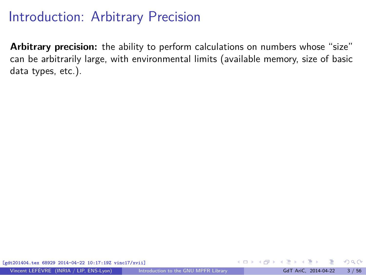<span id="page-2-0"></span>**Arbitrary precision:** the ability to perform calculations on numbers whose "size" can be arbitrarily large, with environmental limits (available memory, size of basic data types, etc.).

 $\Omega$ 

 $\left\{ \begin{array}{ccc} 1 & 0 & 0 \\ 0 & 1 & 0 \end{array} \right.$  ,  $\left\{ \begin{array}{ccc} \frac{1}{2} & 0 & 0 \\ 0 & 0 & 0 \end{array} \right.$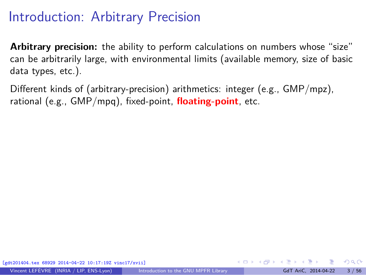**Arbitrary precision:** the ability to perform calculations on numbers whose "size" can be arbitrarily large, with environmental limits (available memory, size of basic data types, etc.).

Different kinds of (arbitrary-precision) arithmetics: integer (e.g., GMP/mpz), rational (e.g., GMP/mpq), fixed-point, **floating-point**, etc.

68929 2014-04-22 10:17:19Z vinc17/xvii]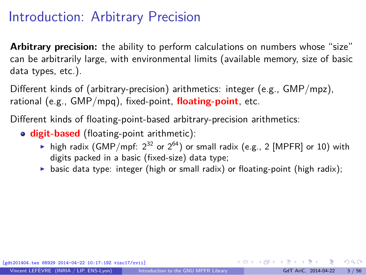**Arbitrary precision:** the ability to perform calculations on numbers whose "size" can be arbitrarily large, with environmental limits (available memory, size of basic data types, etc.).

Different kinds of (arbitrary-precision) arithmetics: integer (e.g., GMP/mpz), rational (e.g., GMP/mpq), fixed-point, **floating-point**, etc.

Different kinds of floating-point-based arbitrary-precision arithmetics:

- **digit-based** (floating-point arithmetic):
	- ightharpoonthing high radix (GMP/mpf:  $2^{32}$  or  $2^{64}$ ) or small radix (e.g., 2 [MPFR] or 10) with digits packed in a basic (fixed-size) data type;
	- $\triangleright$  basic data type: integer (high or small radix) or floating-point (high radix);

 $QQ$ 

 $A \equiv \begin{pmatrix} 1 & 0 & 0 \\ 0 & 1 & 0 \\ 0 & 0 & 0 \end{pmatrix} \in A \Rightarrow A \equiv \begin{pmatrix} 1 & 0 & 0 \\ 0 & 1 & 0 \\ 0 & 0 & 0 \end{pmatrix} \in A$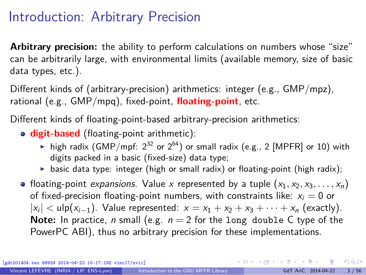**Arbitrary precision:** the ability to perform calculations on numbers whose "size" can be arbitrarily large, with environmental limits (available memory, size of basic data types, etc.).

Different kinds of (arbitrary-precision) arithmetics: integer (e.g., GMP/mpz), rational (e.g., GMP/mpq), fixed-point, **floating-point**, etc.

Different kinds of floating-point-based arbitrary-precision arithmetics:

**digit-based** (floating-point arithmetic):

- ightharpoontal high radix (GMP/mpf:  $2^{32}$  or  $2^{64}$ ) or small radix (e.g., 2 [MPFR] or 10) with digits packed in a basic (fixed-size) data type;
- basic data type: integer (high or small radix) or floating-point (high radix);
- floating-point expansions. Value x represented by a tuple  $(x_1, x_2, x_3, \ldots, x_n)$ of fixed-precision floating-point numbers, with constraints like:  $x_i = 0$  or  $|x_i| < u$ lp $(x_{i-1})$ . Value represented:  $x = x_1 + x_2 + x_3 + \cdots + x_n$  (exactly). **Note:** In practice, *n* small (e.g.  $n = 2$  for the long double C type of the PowerPC ABI), thus no arbitrary precision for these implementations.

[gdt201404.tex 68929 2014-04-22 10:17:19Z vinc17/xvii]

 $QQ$ 

イロト イ部 トメ きょく きょうき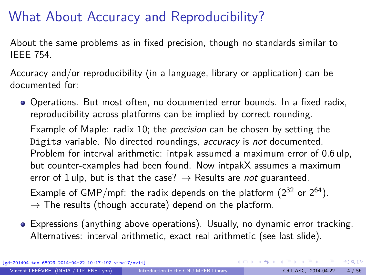# What About Accuracy and Reproducibility?

About the same problems as in fixed precision, though no standards similar to IEEE 754.

Accuracy and/or reproducibility (in a language, library or application) can be documented for:

Operations. But most often, no documented error bounds. In a fixed radix, reproducibility across platforms can be implied by correct rounding.

Example of Maple: radix 10; the *precision* can be chosen by setting the Digits variable. No directed roundings, accuracy is not documented. Problem for interval arithmetic: intpak assumed a maximum error of 0*.*6 ulp, but counter-examples had been found. Now intpakX assumes a maximum error of 1 ulp, but is that the case?  $\rightarrow$  Results are not guaranteed. Example of GMP/mpf: the radix depends on the platform  $(2^{32}$  or  $2^{64})$ .

- $\rightarrow$  The results (though accurate) depend on the platform.
- Expressions (anything above operations). Usually, no dynamic error tracking. Alternatives: interval arithmetic, exact real arithmetic (see last slide).

[gdt201404.tex 68929 2014-04-22 10:17:19Z vinc17/xvii]

 $\Omega$ 

イロト イ押 トイヨ トイヨ トー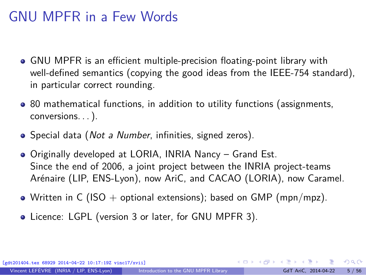## <span id="page-7-0"></span>GNU MPFR in a Few Words

- GNU MPFR is an efficient multiple-precision floating-point library with well-defined semantics (copying the good ideas from the IEEE-754 standard), in particular correct rounding.
- 80 mathematical functions, in addition to utility functions (assignments, conversions. . . ).
- Special data (*Not a Number*, infinities, signed zeros).
- Originally developed at LORIA, INRIA Nancy Grand Est. Since the end of 2006, a joint project between the INRIA project-teams Arénaire (LIP, ENS-Lyon), now AriC, and CACAO (LORIA), now Caramel.
- Written in C (ISO + optional extensions); based on GMP (mpn/mpz).
- Licence: LGPL (version 3 or later, for GNU MPFR 3).

[gdt201404.tex 68929 2014-04-22 10:17:19Z vinc17/xvii]

 $\Omega$ 

 $A \equiv \begin{pmatrix} 1 & 0 & 0 \\ 0 & 1 & 0 \\ 0 & 0 & 0 \end{pmatrix} \in A \Rightarrow A \equiv \begin{pmatrix} 1 & 0 & 0 \\ 0 & 1 & 0 \\ 0 & 0 & 0 \end{pmatrix} \in A$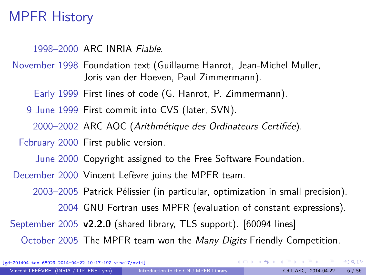### MPFR History

1998–2000 ARC INRIA Fiable.

November 1998 Foundation text (Guillaume Hanrot, Jean-Michel Muller, Joris van der Hoeven, Paul Zimmermann).

Early 1999 First lines of code (G. Hanrot, P. Zimmermann).

9 June 1999 First commit into CVS (later, SVN).

2000–2002 ARC AOC (Arithmétique des Ordinateurs Certifiée).

February 2000 First public version.

June 2000 Copyright assigned to the Free Software Foundation.

December 2000 Vincent Lefèvre joins the MPFR team.

2003–2005 Patrick Pélissier (in particular, optimization in small precision).

2004 GNU Fortran uses MPFR (evaluation of constant expressions).

September 2005 **v2.2.0** (shared library, TLS support). [60094 lines]

October 2005 The MPFR team won the *Many Digits* Friendly Competition.

[gdt201404.tex 68929 2014-04-22 10:17:19Z vinc17/xvii]

 $\Omega$ 

 $\left\{ \begin{array}{ccc} 1 & 0 & 0 \\ 0 & 1 & 0 \end{array} \right.$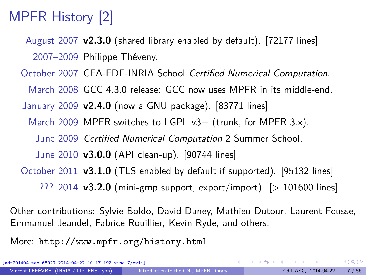# MPFR History [2]

August 2007 **v2.3.0** (shared library enabled by default). [72177 lines] 2007–2009 Philippe Théveny.

October 2007 CEA-EDF-INRIA School Certified Numerical Computation.

March 2008 GCC 4.3.0 release: GCC now uses MPFR in its middle-end.

January 2009 **v2.4.0** (now a GNU package). [83771 lines]

March 2009 MPFR switches to LGPL v3+ (trunk, for MPFR 3.x).

June 2009 Certified Numerical Computation 2 Summer School.

June 2010 **v3.0.0** (API clean-up). [90744 lines]

October 2011 **v3.1.0** (TLS enabled by default if supported). [95132 lines]

??? 2014 **v3.2.0** (mini-gmp support, export/import). [> 101600 lines]

Other contributions: Sylvie Boldo, David Daney, Mathieu Dutour, Laurent Fousse, Emmanuel Jeandel, Fabrice Rouillier, Kevin Ryde, and others.

More: <http://www.mpfr.org/history.html>

[gdt201404.tex 68929 2014-04-22 10:17:19Z vinc17/xvii]

 $\Omega$ 

イロト イ押 トイヨ トイヨ トー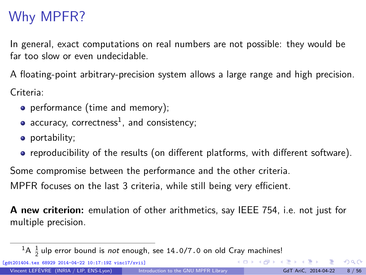# <span id="page-10-0"></span>Why MPFR?

In general, exact computations on real numbers are not possible: they would be far too slow or even undecidable.

A floating-point arbitrary-precision system allows a large range and high precision. Criteria:

- performance (time and memory);
- $accuracy,$   $correctness<sup>1</sup>,$  and  $consistency;$

[gdt201404.tex 68929 2014-04-22 10:17:19Z vinc17/xvii]

- portability;
- reproducibility of the results (on different platforms, with different software).

Some compromise between the performance and the other criteria. MPFR focuses on the last 3 criteria, while still being very efficient.

**A new criterion:** emulation of other arithmetics, say IEEE 754, i.e. not just for multiple precision.

 $\Omega$ 

 $A \equiv \begin{pmatrix} 1 & 0 & 0 \\ 0 & 1 & 0 \\ 0 & 0 & 0 \end{pmatrix} \in A \Rightarrow A \equiv \begin{pmatrix} 1 & 0 & 0 \\ 0 & 1 & 0 \\ 0 & 0 & 0 \end{pmatrix} \in A$ 

 ${}^{1}$ A  ${}^{1}_{2}$ ulp error bound is *not* enough, see 14.0/7.0 on old Cray machines!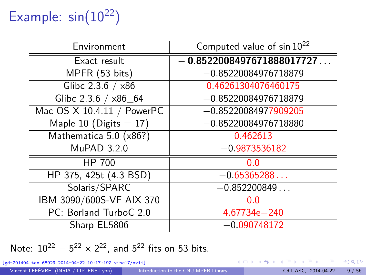# Example:  $sin(10^{22})$

| Environment                | Computed value of sin 10 <sup>22</sup> |
|----------------------------|----------------------------------------|
| Exact result               | $-0.8522008497671888017727$            |
| MPFR (53 bits)             | $-0.85220084976718879$                 |
| Glibc 2.3.6 / x86          | 0.46261304076460175                    |
| Glibc 2.3.6 / x86_64       | $-0.85220084976718879$                 |
| Mac OS X 10.4.11 / PowerPC | $-0.85220084977909205$                 |
| Maple 10 (Digits $= 17$ )  | $-0.85220084976718880$                 |
| Mathematica 5.0 (x86?)     | 0.462613                               |
| MuPAD 3.2.0                | $-0.9873536182$                        |
| HP 700                     | 0.0                                    |
| HP 375, 425t (4.3 BSD)     | $-0.65365288$                          |
| Solaris/SPARC              | $-0.852200849$                         |
| IBM 3090/600S-VF AIX 370   | 0.0                                    |
| PC: Borland TurboC 2.0     | 4.67734e-240                           |
| Sharp EL5806               | $-0.090748172$                         |

Note:  $10^{22} = 5^{22} \times 2^{22}$ , and  $5^{22}$  fits on 53 bits.

[gdt201404.tex 68929 2014-04-22 10:17:19Z vinc17/xvii]

э

 $299$ 

イロト イ部 トイミト イミト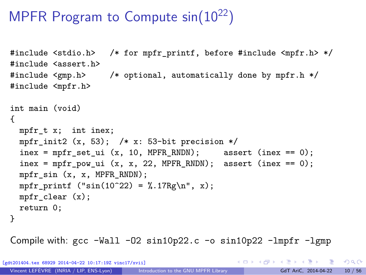# MPFR Program to Compute  $sin(10^{22})$

```
#include <stdio.h> /* for mpfr_printf, before #include <mpfr.h> */
#include <assert.h>
#include <gmp.h> /* optional, automatically done by mpfr.h */
#include <mpfr.h>
int main (void)
{
 mpfr_t x; int inex;
  mpfr init2 (x, 53); /* x: 53-bit precision */
  \text{inex} = \text{mpfr}\_\text{set}\_\text{ui} (x, 10, MPFR_RNDN); assert (inex == 0);
  \text{index} = \text{mpfr\_pow\_ui} (x, x, 22, MPFR_RNDN); assert (inex == 0);
 mpfr_sin (x, x, MPFR_RNDN);
 mpfr_printf ("sin(10^22) = % .17Rg\n", x);mpfr clear (x);
 return 0;
}
```
Compile with:  $\text{gcc -Wall } -02 \sin 10p22$ .  $\text{c}$  -o  $\sin 10p22$  -lmpfr -lgmp

[gdt201404.tex 68929 2014-04-22 10:17:19Z vinc17/xvii]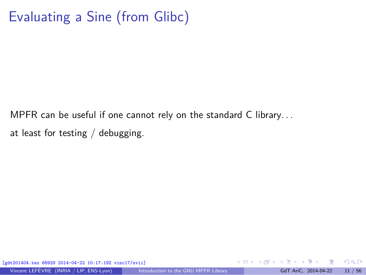# Evaluating a Sine (from Glibc)

MPFR can be useful if one cannot rely on the standard C library. . . at least for testing / debugging.

[gdt201404.tex 68929 2014-04-22 10:17:19Z vinc17/xvii]

 $299$ 

 $\left\{ \begin{array}{ccc} 1 & 0 & 0 \\ 0 & 1 & 0 \end{array} \right.$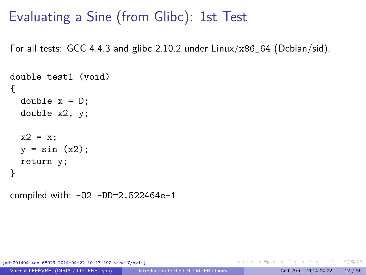### Evaluating a Sine (from Glibc): 1st Test

For all tests: GCC 4.4.3 and glibc 2.10.2 under  $Linux/x86$  64 (Debian/sid).

```
double test1 (void)
{
 double x = D;
  double x2, y;
  x2 = x;y = sin(x2);return y;
}
```
compiled with: -O2 -DD=2.522464e-1

[gdt201404.tex 68929 2014-04-22 10:17:19Z vinc17/xvii]

 $\Omega$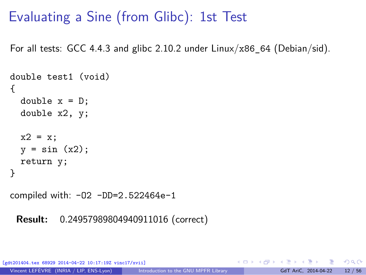# Evaluating a Sine (from Glibc): 1st Test

For all tests: GCC 4.4.3 and glibc 2.10.2 under  $Linux/x86$  64 (Debian/sid).

```
double test1 (void)
{
 double x = D;
 double x2, y;
 x2 = x;y = sin(x2);return y;
}
```
compiled with: -O2 -DD=2.522464e-1

**Result:** 0*.*24957989804940911016 (correct)

[gdt201404.tex 68929 2014-04-22 10:17:19Z vinc17/xvii]

 $\Omega$ 

イロト イ押 トイヨ トイヨト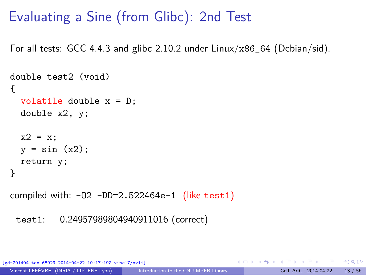# Evaluating a Sine (from Glibc): 2nd Test

For all tests: GCC 4.4.3 and glibc 2.10.2 under  $Linux/x86$  64 (Debian/sid).

```
double test2 (void)
{
 volatile double x = D;
 double x2, y;
 x2 = x;y = sin(x2);return y;
}
```
compiled with:  $-02 - DD=2.522464e-1$  (like test1)

```
test1: 0.24957989804940911016 (correct)
```
[gdt201404.tex 68929 2014-04-22 10:17:19Z vinc17/xvii]

- 3

 $\Omega$ 

イロト イ押 トイヨ トイヨト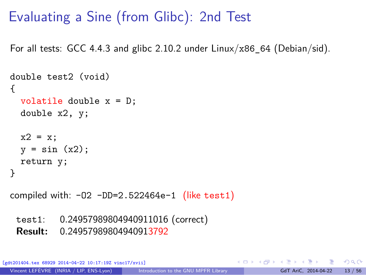# Evaluating a Sine (from Glibc): 2nd Test

For all tests: GCC 4.4.3 and glibc 2.10.2 under  $Linux/x86$  64 (Debian/sid).

```
double test2 (void)
{
 volatile double x = D;
 double x2, y;
 x2 = x;y = sin(x2);return y;
}
```
compiled with:  $-02$   $-DD=2.522464e-1$  (like test1)

test1: 0*.*24957989804940911016 (correct)

**Result:** 0*.*24957989804940913792

[gdt201404.tex 68929 2014-04-22 10:17:19Z vinc17/xvii]

- 3

 $\Omega$ 

イロト イ何 トイヨ トイヨト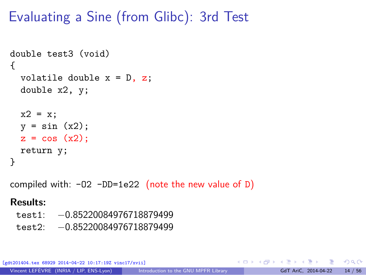# Evaluating a Sine (from Glibc): 3rd Test

```
double test3 (void)
{
  volatile double x = D, z;
  double x2, y;
  x2 = x;y = sin(x2);z = cos(x2);return y;
}
compiled with: -02 -DD=1e22 (note the new value of D)
Results:
```
test1: −0*.*85220084976718879499 test2: −0*.*85220084976718879499

[gdt201404.tex 68929 2014-04-22 10:17:19Z vinc17/xvii]

D.

 $\Omega$ 

イロト イ押 トイヨ トイヨト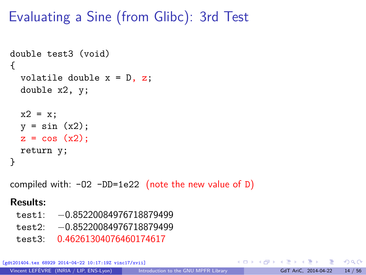# Evaluating a Sine (from Glibc): 3rd Test

```
double test3 (void)
{
 volatile double x = D, z;
 double x2, y;
 x2 = x;y = sin(x2);z = cos(x2);return y;
}
```
compiled with:  $-02$   $-DD=1e22$  (note the new value of D)

#### **Results:**

- test1: −0*.*85220084976718879499
- test2: −0*.*85220084976718879499
- test3: 0*.*46261304076460174617

[gdt201404.tex 68929 2014-04-22 10:17:19Z vinc17/xvii]

目

 $\Omega$ 

イロト イ押 トイヨ トイヨト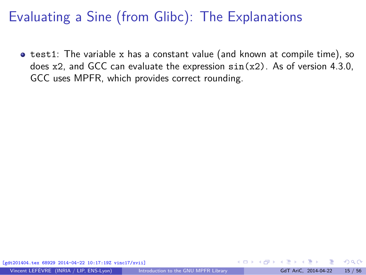**•** test1: The variable x has a constant value (and known at compile time), so does  $x2$ , and GCC can evaluate the expression  $sin(x2)$ . As of version 4.3.0, GCC uses MPFR, which provides correct rounding.

 $\Omega$ 

**∢ ロ ▶ - ∢ 何 ▶ - ∢ ヨ**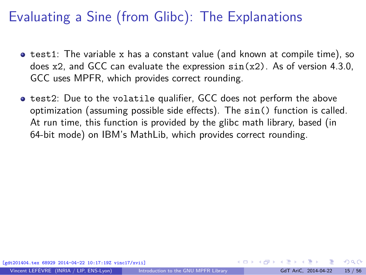- $\bullet$  test1: The variable x has a constant value (and known at compile time), so does  $x2$ , and GCC can evaluate the expression  $sin(x2)$ . As of version 4.3.0, GCC uses MPFR, which provides correct rounding.
- **test2:** Due to the volatile qualifier, GCC does not perform the above optimization (assuming possible side effects). The sin() function is called. At run time, this function is provided by the glibc math library, based (in 64-bit mode) on IBM's MathLib, which provides correct rounding.

 $\Omega$ 

イロト イ押 トイヨ トイヨト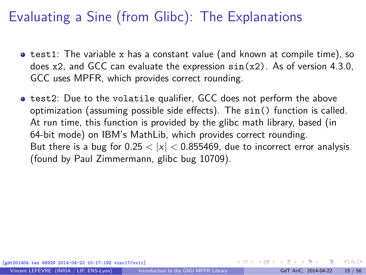- $\bullet$  test1: The variable x has a constant value (and known at compile time), so does  $x2$ , and GCC can evaluate the expression  $sin(x2)$ . As of version 4.3.0, GCC uses MPFR, which provides correct rounding.
- **test2:** Due to the volatile qualifier, GCC does not perform the above optimization (assuming possible side effects). The sin() function is called. At run time, this function is provided by the glibc math library, based (in 64-bit mode) on IBM's MathLib, which provides correct rounding. But there is a bug for  $0.25 < |x| < 0.855469$ , due to incorrect error analysis (found by Paul Zimmermann, [glibc bug 10709\)](http://sourceware.org/bugzilla/show_bug.cgi?id=10709).

 $\Omega$ 

 $\mathbf{A} \sqsubseteq \mathbf{B} \rightarrow \mathbf{A} \boxplus \mathbf{B} \rightarrow \mathbf{A} \boxplus \mathbf{B} \rightarrow \mathbf{A} \boxplus \mathbf{B}$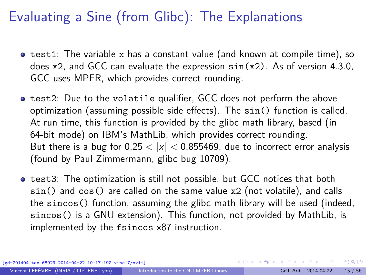- $\bullet$  test1: The variable x has a constant value (and known at compile time), so does  $x2$ , and GCC can evaluate the expression  $sin(x2)$ . As of version 4.3.0, GCC uses MPFR, which provides correct rounding.
- **test2:** Due to the volatile qualifier, GCC does not perform the above optimization (assuming possible side effects). The sin() function is called. At run time, this function is provided by the glibc math library, based (in 64-bit mode) on IBM's MathLib, which provides correct rounding. But there is a bug for  $0.25 < |x| < 0.855469$ , due to incorrect error analysis (found by Paul Zimmermann, [glibc bug 10709\)](http://sourceware.org/bugzilla/show_bug.cgi?id=10709).
- **•** test3: The optimization is still not possible, but GCC notices that both sin() and cos() are called on the same value x2 (not volatile), and calls the sincos() function, assuming the glibc math library will be used (indeed, sincos() is a GNU extension). This function, not provided by MathLib, is implemented by the fsincos x87 instruction.

[gdt201404.tex 68929 2014-04-22 10:17:19Z vinc17/xvii]

 $\Omega$ 

 $A \equiv \begin{pmatrix} 1 & 0 & 0 \\ 0 & 1 & 0 \\ 0 & 0 & 0 \end{pmatrix} \in A \Rightarrow A \equiv \begin{pmatrix} 1 & 0 & 0 \\ 0 & 1 & 0 \\ 0 & 0 & 0 \end{pmatrix} \in A$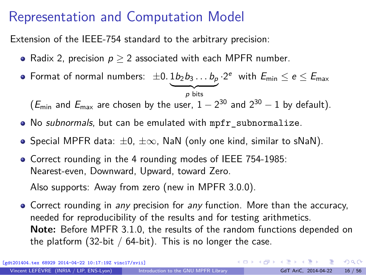# <span id="page-24-0"></span>Representation and Computation Model

Extension of the IEEE-754 standard to the arbitrary precision:

- Radix 2, precision  $p > 2$  associated with each MPFR number.
- Format of normal numbers:  $\pm 0.1b_2b_3\dots b_p\cdot 2^e\,$  with  $E_{\sf min}\leq e\leq E_{\sf max}$  $\overline{p}$  bits

 $(E_{\text{min}}$  and  $E_{\text{max}}$  are chosen by the user,  $1-2^{30}$  and  $2^{30}-1$  by default).

- No subnormals, but can be emulated with mpfr\_subnormalize.
- $\bullet$  Special MPFR data:  $\pm 0$ ,  $\pm \infty$ , NaN (only one kind, similar to sNaN).
- Correct rounding in the 4 rounding modes of IEEE 754-1985: Nearest-even, Downward, Upward, toward Zero.

Also supports: Away from zero (new in MPFR 3.0.0).

• Correct rounding in any precision for any function. More than the accuracy, needed for reproducibility of the results and for testing arithmetics. **Note:** Before MPFR 3.1.0, the results of the random functions depended on the platform (32-bit /  $64$ -bit). This is no longer the case.

[gdt201404.tex 68929 2014-04-22 10:17:19Z vinc17/xvii]

 $299$ 

イロト 不優 トメ 差 トメ 差 トー 差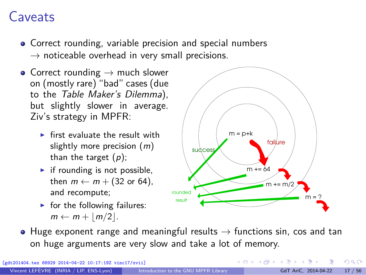### Caveats

- Correct rounding, variable precision and special numbers  $\rightarrow$  noticeable overhead in very small precisions.
- Correct rounding  $\rightarrow$  much slower on (mostly rare) "bad" cases (due to the Table Maker's Dilemma), but slightly slower in average. Ziv's strategy in MPFR:
	- $\triangleright$  first evaluate the result with slightly more precision  $(m)$ than the target  $(p)$ ;
	- $\blacktriangleright$  if rounding is not possible, then  $m \leftarrow m + (32 \text{ or } 64)$ , and recompute;
	- $\blacktriangleright$  for the following failures:  $m \leftarrow m + |m/2|$ .



 $($  ロ )  $($   $($  $)$   $)$   $($   $)$   $($   $)$   $($   $)$   $($   $)$   $($   $)$   $($   $)$   $($   $)$   $($   $)$   $($   $)$   $($   $)$   $($   $)$   $($   $)$   $($   $)$   $($   $)$   $($   $)$   $($   $)$   $($   $)$   $($   $)$   $($   $)$   $($   $)$   $($   $)$   $($   $)$   $($   $)$   $($   $)$   $($   $)$ 

 $\bullet$  Huge exponent range and meaningful results  $\rightarrow$  functions sin, cos and tan on huge arguments are very slow and take a lot of memory.

[gdt201404.tex 68929 2014-04-22 10:17:19Z vinc17/xvii]

 $QQ$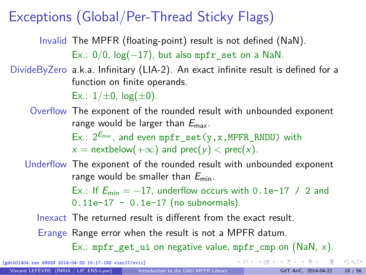# Exceptions (Global/Per-Thread Sticky Flags)

Invalid The MPFR (floating-point) result is not defined (NaN). Ex.:  $0/0$ ,  $log(-17)$ , but also mpfr set on a NaN.

DivideByZero a.k.a. Infinitary (LIA-2). An exact infinite result is defined for a function on finite operands.

Ex.:  $1/\pm 0$ ,  $log(\pm 0)$ .

Overflow The exponent of the rounded result with unbounded exponent range would be larger than  $E_{\text{max}}$ . Ex.:  $2^{E_{\text{max}}}$ , and even mpfr\_set(y,x,MPFR\_RNDU) with  $x =$  nextbelow( $+\infty$ ) and prec( $y$ ) < prec(x).

Underflow The exponent of the rounded result with unbounded exponent range would be smaller than  $E_{\text{min}}$ .

> Ex.: If  $E_{\text{min}} = -17$ , underflow occurs with 0.1e-17 / 2 and  $0.11e-17 - 0.1e-17$  (no subnormals).

Inexact The returned result is different from the exact result.

Erange Range error when the result is not a MPFR datum.

Ex.: mpfr get ui on negative value, mpfr cmp on (NaN, x).

[gdt201404.tex 68929 2014-04-22 10:17:19Z vinc17/xvii]

 $QQ$ 

 $A \equiv \mathbf{1} + \mathbf{1} + \mathbf{1} + \mathbf{1} + \mathbf{1} + \mathbf{1} + \mathbf{1} + \mathbf{1} + \mathbf{1} + \mathbf{1} + \mathbf{1} + \mathbf{1} + \mathbf{1} + \mathbf{1} + \mathbf{1} + \mathbf{1} + \mathbf{1} + \mathbf{1} + \mathbf{1} + \mathbf{1} + \mathbf{1} + \mathbf{1} + \mathbf{1} + \mathbf{1} + \mathbf{1} + \mathbf{1} + \mathbf{1} + \mathbf{1} + \mathbf{1} + \mathbf{1} + \mathbf{1} +$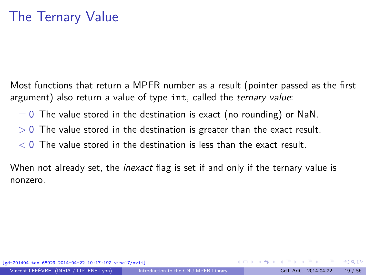Most functions that return a MPFR number as a result (pointer passed as the first argument) also return a value of type int, called the ternary value:

- $= 0$  The value stored in the destination is exact (no rounding) or NaN.
- *>* 0 The value stored in the destination is greater than the exact result.
- *<* 0 The value stored in the destination is less than the exact result.

When not already set, the *inexact* flag is set if and only if the ternary value is nonzero.

 $\Omega$ 

イロト イ押 トイヨ トイヨー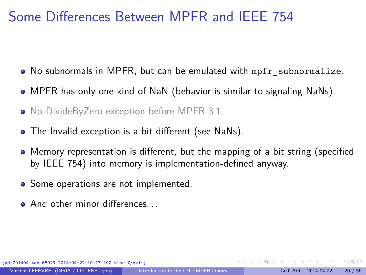# Some Differences Between MPFR and IEEE 754

- No subnormals in MPFR, but can be emulated with mpfr subnormalize.
- MPFR has only one kind of NaN (behavior is similar to signaling NaNs).
- No DivideByZero exception before MPFR 3.1.
- The Invalid exception is a bit different (see NaNs).
- Memory representation is different, but the mapping of a bit string (specified by IEEE 754) into memory is implementation-defined anyway.
- Some operations are not implemented.
- **And other minor differences**

[gdt201404.tex 68929 2014-04-22 10:17:19Z vinc17/xvii]

Vincent LEFÈVRE (INRIA / LIP, ENS-Lyon) [Introduction to the GNU MPFR Library](#page-0-0) GdT AriC, 2014-04-22 20 / 56

 $\Omega$ 

イロト イ押 トイヨ トイヨト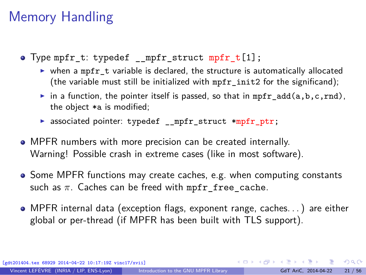# Memory Handling

- Type mpfr t: typedef mpfr struct mpfr  $t[1]$ ;
	- $\triangleright$  when a mpfr\_t variable is declared, the structure is automatically allocated (the variable must still be initialized with mpfr\_init2 for the significand);
	- in a function, the pointer itself is passed, so that in mpfr\_add(a,b,c,rnd), the object \*a is modified;
	- ▶ associated pointer: typedef \_\_mpfr\_struct \*mpfr\_ptr;
- MPFR numbers with more precision can be created internally. Warning! Possible crash in extreme cases (like in most software).
- Some MPFR functions may create caches, e.g. when computing constants such as  $\pi$ . Caches can be freed with mpfr free cache.
- MPFR internal data (exception flags, exponent range, caches. . . ) are either global or per-thread (if MPFR has been built with TLS support).

[gdt201404.tex 68929 2014-04-22 10:17:19Z vinc17/xvii]

 $QQ$ 

 $A \equiv \begin{pmatrix} 1 & 0 & 0 \\ 0 & 1 & 0 \\ 0 & 0 & 0 \end{pmatrix} \in A \Rightarrow A \equiv \begin{pmatrix} 1 & 0 & 0 \\ 0 & 1 & 0 \\ 0 & 0 & 0 \end{pmatrix} \in A$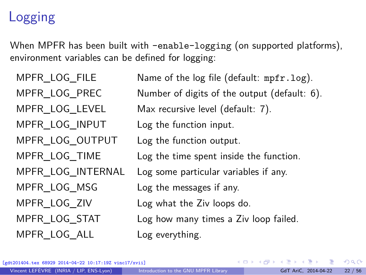# Logging

When MPFR has been built with -enable-logging (on supported platforms), environment variables can be defined for logging:

MPFR\_LOG\_INPUT Log the function input. MPFR\_LOG\_OUTPUT Log the function output. MPFR LOG MSG Log the messages if any. MPFR LOG ALL Log everything.

MPFR LOG FILE Name of the log file (default: mpfr.log). MPFR\_LOG\_PREC Number of digits of the output (default: 6). MPFR\_LOG\_LEVEL Max recursive level (default: 7). MPFR\_LOG\_TIME Log the time spent inside the function. MPFR\_LOG\_INTERNAL Log some particular variables if any. MPFR\_LOG\_ZIV Log what the Ziv loops do. MPFR\_LOG\_STAT Log how many times a Ziv loop failed.

[gdt201404.tex 68929 2014-04-22 10:17:19Z vinc17/xvii]

 $\Omega$ 

イロト イ押 トイヨ トイヨト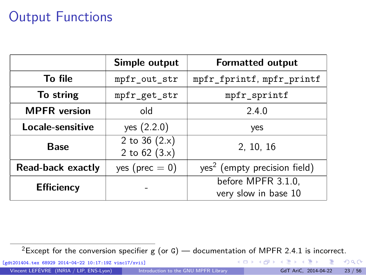# <span id="page-31-0"></span>Output Functions

|                     | Simple output                      | <b>Formatted output</b>                    |  |  |
|---------------------|------------------------------------|--------------------------------------------|--|--|
| To file             | mpfr_out_str                       | mpfr_fprintf, mpfr_printf                  |  |  |
| To string           | mpfr_get_str                       | mpfr_sprintf                               |  |  |
| <b>MPFR</b> version | old                                | 2.4.0                                      |  |  |
| Locale-sensitive    | yes (2.2.0)                        | yes                                        |  |  |
| Base                | 2 to 36 $(2.x)$<br>2 to $62 (3.x)$ | 2, 10, 16                                  |  |  |
| Read-back exactly   | yes ( $prec = 0$ )                 | yes <sup>2</sup> (empty precision field)   |  |  |
| <b>Efficiency</b>   |                                    | before MPFR 3.1.0,<br>very slow in base 10 |  |  |

<sup>2</sup>Except for the conversion specifier g (or G) — documentation of MPFR 2.4.1 is incorrect.

[gdt201404.tex 68929 2014-04-22 10:17:19Z vinc17/xvii]

Vincent LEFÈVRE (INRIA / LIP, ENS-Lyon) [Introduction to the GNU MPFR Library](#page-0-0) GdT AriC, 2014-04-22 23 / 56

Ε

 $299$ 

K ロ ▶ K 個 ▶ K 君 ▶ K 君 ▶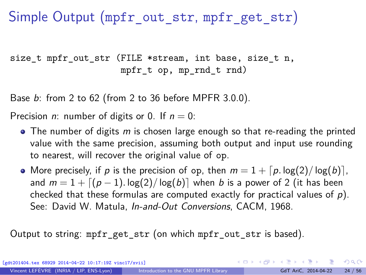Simple Output (mpfr\_out\_str, mpfr\_get\_str)

size t mpfr out str (FILE \*stream, int base, size t n, mpfr\_t op, mp\_rnd\_t rnd)

Base b: from 2 to 62 (from 2 to 36 before MPFR 3.0.0).

Precision *n*: number of digits or 0. If  $n = 0$ :

- $\bullet$  The number of digits m is chosen large enough so that re-reading the printed value with the same precision, assuming both output and input use rounding to nearest, will recover the original value of op.
- More precisely, if p is the precision of op, then  $m = 1 + \lceil p \cdot \log(2) / \log(b) \rceil$ , and  $m = 1 + \lfloor (p-1) \cdot \log(2) / \log(b) \rfloor$  when b is a power of 2 (it has been checked that these formulas are computed exactly for practical values of  $p$ ). See: David W. Matula, *[In-and-Out Conversions](http://dx.doi.org/10.1145/362851.362887)*, CACM, 1968.

Output to string: mpfr\_get\_str (on which mpfr\_out\_str is based).

[gdt201404.tex 68929 2014-04-22 10:17:19Z vinc17/xvii]

K ロ ▶ K 個 ▶ K ミ ▶ K ミ ▶ - ' 큰' - 10 Q Q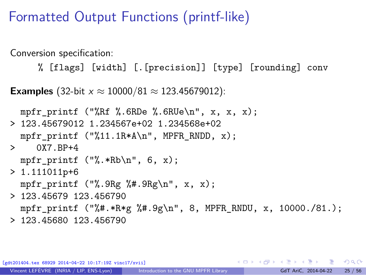### Formatted Output Functions (printf-like)

Conversion specification:

% [flags] [width] [.[precision]] [type] [rounding] conv

**Examples** (32-bit  $x \approx 10000/81 \approx 123.45679012$ ):

```
mpfr_printf ("%Rf %.6RDe %.6RUe\n", x, x, x);
> 123.45679012 1.234567e+02 1.234568e+02
 mpfr_printf ("%11.1R*A\n", MPFR_RNDD, x);
> 0X7 RP+4
 mpfr printf ("%.*Rb\n", 6, x);
> 1.111011p+6mpfr printf ("%.9Rg %#.9Rg\n", x, x);
> 123.45679 123.456790
 mpfr_printf ("%#.*R*g %#.9g\n", 8, MPFR_RNDU, x, 10000./81.);
> 123.45680 123.456790
```
[gdt201404.tex 68929 2014-04-22 10:17:19Z vinc17/xvii]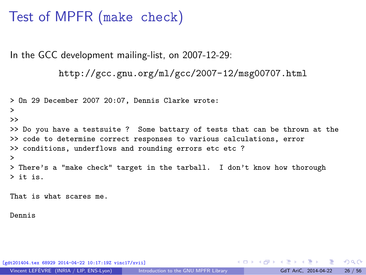### <span id="page-34-0"></span>Test of MPFR (make check)

In the GCC development mailing-list, on 2007-12-29:

```
http://gcc.gnu.org/ml/gcc/2007-12/msg00707.html
```

```
> On 29 December 2007 20:07, Dennis Clarke wrote:
>
>>
>> Do you have a testsuite ? Some battary of tests that can be thrown at the
>> code to determine correct responses to various calculations, error
>> conditions, underflows and rounding errors etc etc ?
>
> There's a "make check" target in the tarball. I don't know how thorough
> it is.
```
That is what scares me.

Dennis

[gdt201404.tex 68929 2014-04-22 10:17:19Z vinc17/xvii]

 $\equiv$   $\cap$   $\alpha$ 

 $\mathbf{A} \equiv \mathbf{A} + \mathbf{A} \mathbf{B} + \mathbf{A} \mathbf{B} + \mathbf{A} \mathbf{B} + \mathbf{A} \mathbf{B}$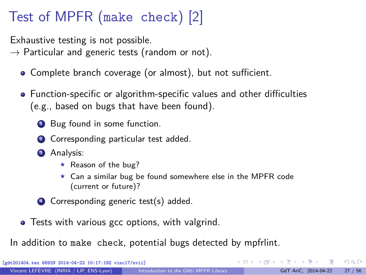# Test of MPFR (make check) [2]

Exhaustive testing is not possible.

 $\rightarrow$  Particular and generic tests (random or not).

- Complete branch coverage (or almost), but not sufficient.
- Function-specific or algorithm-specific values and other difficulties (e.g., based on bugs that have been found).
	- **1** Bug found in some function.
	- 2 Corresponding particular test added.
	- <sup>3</sup> Analysis:
		- $\star$  Reason of the bug?
		- <sup>⋆</sup> Can a similar bug be found somewhere else in the MPFR code (current or future)?
	- <sup>4</sup> Corresponding generic test(s) added.
- **•** Tests with various gcc options, with valgrind.

In addition to make check, potential bugs detected by mpfrlint.

[gdt201404.tex 68929 2014-04-22 10:17:19Z vinc17/xvii]

 $\Omega$ 

 $\left\{ \begin{array}{ccc} \square & \times & \overline{\square} & \times \end{array} \right.$   $\left\{ \begin{array}{ccc} \square & \times & \times & \overline{\square} & \times \end{array} \right.$   $\left\{ \begin{array}{ccc} \square & \times & \times & \overline{\square} & \times \end{array} \right.$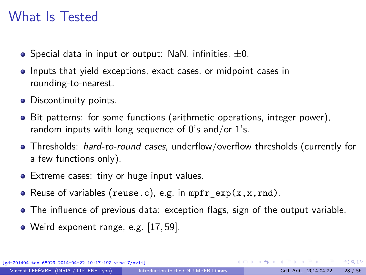### What Is Tested

- $\bullet$  Special data in input or output: NaN, infinities,  $\pm 0$ .
- **Inputs that yield exceptions, exact cases, or midpoint cases in** rounding-to-nearest.
- Discontinuity points.
- Bit patterns: for some functions (arithmetic operations, integer power), random inputs with long sequence of  $0$ 's and/or  $1$ 's.
- Thresholds: *hard-to-round cases*, underflow/overflow thresholds (currently for a few functions only).
- Extreme cases: tiny or huge input values.
- Reuse of variables (reuse.c), e.g. in  $mpr\_exp(x, x, rnd)$ .
- The influence of previous data: exception flags, sign of the output variable.
- Weird exponent range, e.g. [17*,* 59].

ex 68929 2014-04-22 10:17:19Z vinc17/xviil

 $\Omega$ 

 $A \equiv \begin{pmatrix} 1 & 0 & 0 \\ 0 & 1 & 0 \\ 0 & 0 & 0 \end{pmatrix} \in A \Rightarrow A \equiv \begin{pmatrix} 1 & 0 & 0 \\ 0 & 1 & 0 \\ 0 & 0 & 0 \end{pmatrix} \in A$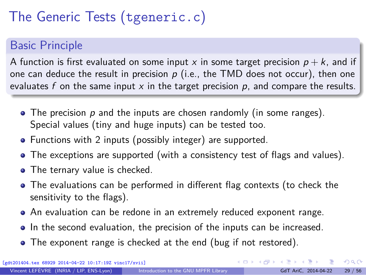# The Generic Tests (tgeneric.c)

### Basic Principle

A function is first evaluated on some input x in some target precision  $p + k$ , and if one can deduce the result in precision  $p$  (i.e., the TMD does not occur), then one evaluates f on the same input  $x$  in the target precision  $p$ , and compare the results.

- $\bullet$  The precision p and the inputs are chosen randomly (in some ranges). Special values (tiny and huge inputs) can be tested too.
- Functions with 2 inputs (possibly integer) are supported.
- The exceptions are supported (with a consistency test of flags and values).
- The ternary value is checked.
- The evaluations can be performed in different flag contexts (to check the sensitivity to the flags).
- An evaluation can be redone in an extremely reduced exponent range.
- In the second evaluation, the precision of the inputs can be increased.
- The exponent range is checked at the end (bug if not restored).

[gdt201404.tex 68929 2014-04-22 10:17:19Z vinc17/xvii]

 $\Omega$ 

 $\left\{ \begin{array}{ccc} 1 & 0 & 0 \\ 0 & 1 & 0 \end{array} \right.$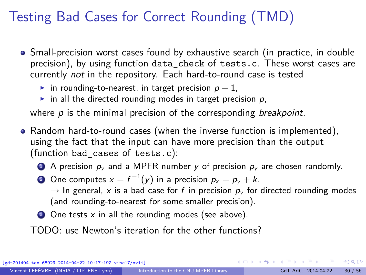# Testing Bad Cases for Correct Rounding (TMD)

- Small-precision worst cases found by exhaustive search (in practice, in double precision), by using function data\_check of tests.c. These worst cases are currently not in the repository. Each hard-to-round case is tested
	- in rounding-to-nearest, in target precision  $p 1$ ,
	- in all the directed rounding modes in target precision  $p$ ,

where  $p$  is the minimal precision of the corresponding *breakpoint*.

- Random hard-to-round cases (when the inverse function is implemented), using the fact that the input can have more precision than the output (function bad\_cases of tests.c):
	- A precision  $p_v$  and a MPFR number y of precision  $p_v$  are chosen randomly.
	- $2$  One computes  $x = f^{-1}(y)$  in a precision  $p_x = p_y + k$ .

 $\rightarrow$  In general, x is a bad case for f in precision  $p_y$  for directed rounding modes (and rounding-to-nearest for some smaller precision).

 $\bullet$  One tests x in all the rounding modes (see above).

TODO: use Newton's iteration for the other functions?

[gdt201404.tex 68929 2014-04-22 10:17:19Z vinc17/xvii]

 $\Omega$ 

**K ロ ト K 伺 ト K ヨ ト K ヨ ト**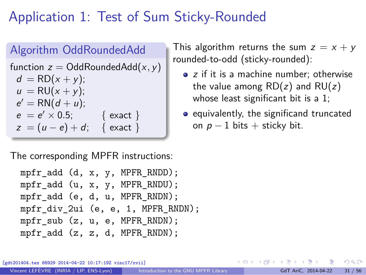# <span id="page-39-0"></span>Application 1: Test of Sum Sticky-Rounded

#### Algorithm OddRoundedAdd

function  $z = \text{OddRoundedAdd}(x, y)$  $d = \text{RD}(x + y);$  $u = RU(x + v)$ ;  $e' = RN(d + u);$  $e = e' \times 0.5;$  { exact }  $z = (u - e) + d$ ; { exact }

The corresponding MPFR instructions:

```
mpfr_add (d, x, y, MPFR_RNDD);
mpfr_add (u, x, y, MPFR_RNDU);
mpfr_add (e, d, u, MPFR_RNDN);
mpfr_div_2ui (e, e, 1, MPFR_RNDN);
mpfr_sub (z, u, e, MPFR_RNDN);mpfr_add (z, z, d, MPFR_RNDN);
```
This algorithm returns the sum  $z = x + y$ rounded-to-odd (sticky-rounded):

- z if it is a machine number; otherwise the value among  $RD(z)$  and  $RU(z)$ whose least significant bit is a 1;
- equivalently, the significand truncated on  $p - 1$  bits + sticky bit.

68929 2014-04-22 10:17:19Z vinc17/xvii]

 $\Omega$ 

∢ ロ ▶ ④ ━ ▶ ④ ≡ ▶ ④ ≡ ▶ │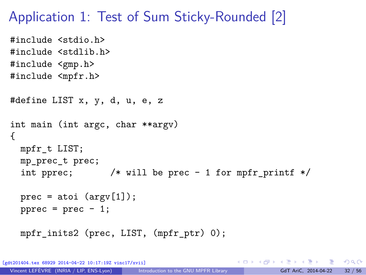### Application 1: Test of Sum Sticky-Rounded [2]

```
#include <stdio.h>
#include <stdlib.h>
#include <gmp.h>
#include <mpfr.h>
#define LIST x, y, d, u, e, z
int main (int argc, char **argv)
{
  mpfr_t LIST;
  mp_prec_t prec;
  int pprec; /* will be prec - 1 for mpfr printf */prec = atoi (argv[1]);pprec = prec - 1;mpfr_inits2 (prec, LIST, (mpfr_ptr) 0);
```
[gdt201404.tex 68929 2014-04-22 10:17:19Z vinc17/xvii]

K □ ▶ K @ ▶ K 로 ▶ K 로 ▶ \_ 로 \_ K) 9,00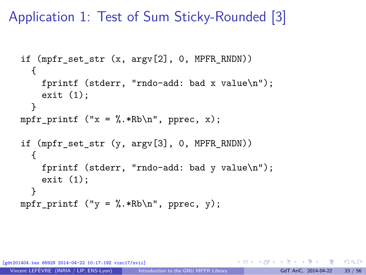Application 1: Test of Sum Sticky-Rounded [3]

```
if (mpfr set str (x, \argy[2], 0, MPFR_RNDN))
  {
    fprintf (stderr, "rndo-add: bad x value\n");
    exit (1);
  }
mpfr_printf ("x = %.*Rb\nu", pprec, x);if (mpfr set str (y, \text{argy}[3], 0, \text{MPFR}_R))
  {
    fprintf (stderr, "rndo-add: bad y value\n");
    exit (1);
  }
mpfr printf ("y = \frac{N}{k}.*Rb\n", pprec, y);
```
[gdt201404.tex 68929 2014-04-22 10:17:19Z vinc17/xvii]

 $4.49 \times 4.7$ 

 $\Omega$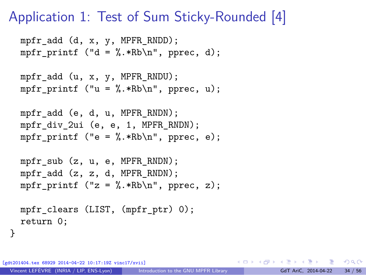### Application 1: Test of Sum Sticky-Rounded [4]

```
mpfr_add (d, x, y, MPFR_RNDD);
mpfr printf ("d = \frac{N}{n}.*Rb\n", pprec, d);
mpfr_add (u, x, y, MPFR_RNDU);
mpfr printf ("u = \frac{N}{n}.*Rb\n", pprec, u);
mpfr_add (e, d, u, MPFR_RNDN);
mpfr div 2ui (e, e, 1, MPFR RNDN);
mpfr printf ("e = \frac{N}{n}.*Rb\n", pprec, e);
mpfr sub (z, u, e, MPFR RNDN);
mpfr_add (z, z, d, MPFR_RNDN);
mpfr_printf ("z = %.*Rb\nu", pprec, z);
```

```
mpfr_clears (LIST, (mpfr_ptr) 0);
return 0;
```
[gdt201404.tex 68929 2014-04-22 10:17:19Z vinc17/xvii]

}

K ロ ▶ K 個 ▶ K 로 ▶ K 로 ▶ 『 콘 / ⊙ Q ⊙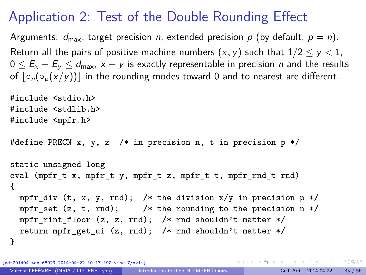# Application 2: Test of the Double Rounding Effect

Arguments:  $d_{\text{max}}$ , target precision n, extended precision p (by default,  $p = n$ ). Return all the pairs of positive machine numbers  $(x, y)$  such that  $1/2 \le y < 1$ ,  $0 \le E_x - E_y \le d_{\text{max}}$ ,  $x - y$  is exactly representable in precision *n* and the results of  $| \circ_n(\circ_n(x/y))|$  in the rounding modes toward 0 and to nearest are different.

```
#include <stdio.h>
#include <stdlib.h>
#include <mpfr.h>
#define PRECN x, y, z /* in precision n, t in precision p */
static unsigned long
eval (mpfr t x, mpfr t y, mpfr t z, mpfr t t, mpfr rnd t rnd)
{
 mpfr_div (t, x, y, rnd); /* the division x/y in precision p */
 mpfr_set (z, t, rnd); /* the rounding to the precision n */
 mpfr_rint_floor (z, z, rnd); /* rnd shouldn't matter */
  return mpfr get ui (z, \text{rnd}); /* rnd shouldn't matter */
}
```
[gdt201404.tex 68929 2014-04-22 10:17:19Z vinc17/xvii]

KID KARA KEI KEI KORO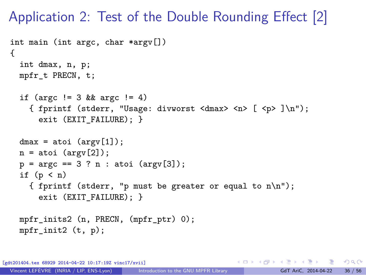Application 2: Test of the Double Rounding Effect [2]

```
int main (int argc, char *argv[])
{
  int dmax, n, p;
 mpfr_t PRECN, t;
  if (argc != 3 && argc != 4)
    { fprintf (stderr, "Usage: divworst <dmax> <n> [ <p> ]\n");
      exit (EXIT_FAILURE); }
  dmax = atoi (argv[1]);n = atoi (argv[2]);p = \arg c == 3 ? n : \text{atoi } (\arg v [3]);
  if (p < n){ fprintf (stderr, "p must be greater or equal to n\n");
      exit (EXIT FAILURE): }
 mpfr_inits2 (n, PRECN, (mpfr_ptr) 0);
 mpfr\_init2 (t, p);
```
[gdt201404.tex 68929 2014-04-22 10:17:19Z vinc17/xvii]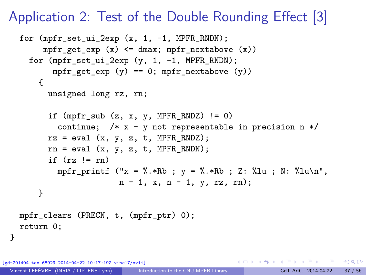### Application 2: Test of the Double Rounding Effect [3]

```
for (mpfr_set_ui_2exp (x, 1, -1, MPFR_RNDN);
     mpfr_get_exp (x) <= dmax; mpfr_nextabove (x))
  for (mpfr set ui 2exp (y, 1, -1, MPFR RNDN);
       mpr\_get\_exp (y) == 0; mpr\_nextabove (y))
    {
      unsigned long rz, rn;
      if (mpr\_sub(z, x, y, MPR\_RNDZ) := 0)continue; /* x - y not representable in precision n */
      rz = eval(x, y, z, t, MPFR_RNDZ);rn = eval(x, y, z, t, MPFR RNDN);if (rz \mid = rn)mpfr_printf ("x = %.*Rb; y = %.*Rb; Z: %lu; N: %lu\n",
                     n - 1, x, n - 1, y, rz, rn);
    }
mpfr_clears (PRECN, t, (mpfr_ptr) 0);
return 0;
```
[gdt201404.tex 68929 2014-04-22 10:17:19Z vinc17/xvii]

}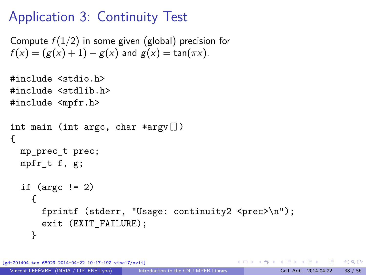# Application 3: Continuity Test

```
Compute f(1/2) in some given (global) precision for
f(x) = (g(x) + 1) - g(x) and g(x) = \tan(\pi x).
```

```
#include <stdio.h>
#include <stdlib.h>
#include <mpfr.h>
int main (int argc, char *argv[])
{
  mp_prec_t prec;
  mpfr t f, g;
  if (\text{argc} != 2){
      fprintf (stderr, "Usage: continuity2 <prec>\n");
      exit (EXIT FAILURE);
    }
```
 $\frac{1}{2}$  68929 2014-04-22 10:17:19Z vinc17/xviil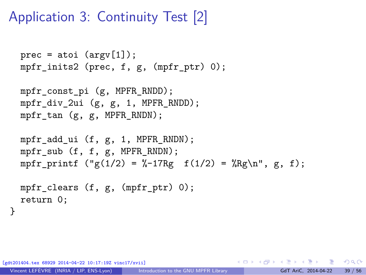# Application 3: Continuity Test [2]

```
prec = atoi (argv[1]);mpfr_inits2 (prec, f, g, (mpfr_ptr) 0);
```

```
mpfr const pi (g, MPFR RNDD);
mpfr_div_2ui (g, g, 1, MPFR_RNDD);
mpfr_tan (g, g, MPFR_RNDN);
```

```
mpfr_add_ui (f, g, 1, MPFR_RNDN);
mpfr_sub (f, f, g, MPFR_RNDN);
mpfr_printf ("g(1/2) = %-17Rg f(1/2) = %Rg\nu, g, f);
```

```
mpfr_clears (f, g, (mpfr_ptr) 0);
return 0;
```
[gdt201404.tex 68929 2014-04-22 10:17:19Z vinc17/xvii]

}

K ロ ▶ K 個 ▶ K 로 ▶ K 로 ▶ - 로 - K 9 Q @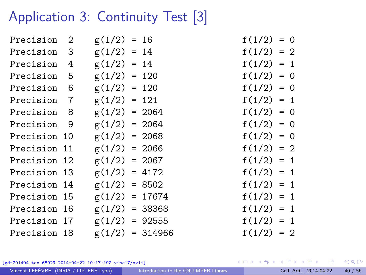# Application 3: Continuity Test [3]

| Precision 2  | $g(1/2) = 16$    |                   | $f(1/2) = 0$ |  |
|--------------|------------------|-------------------|--------------|--|
| Precision 3  | $g(1/2) = 14$    |                   | $f(1/2) = 2$ |  |
| Precision 4  | $g(1/2) = 14$    |                   | $f(1/2) = 1$ |  |
| Precision 5  | $g(1/2) = 120$   |                   | $f(1/2) = 0$ |  |
| Precision 6  | $g(1/2) = 120$   |                   | $f(1/2) = 0$ |  |
| Precision 7  | $g(1/2) = 121$   |                   | $f(1/2) = 1$ |  |
| Precision 8  | $g(1/2) = 2064$  |                   | $f(1/2) = 0$ |  |
| Precision 9  | $g(1/2) = 2064$  |                   | $f(1/2) = 0$ |  |
| Precision 10 | $g(1/2) = 2068$  |                   | $f(1/2) = 0$ |  |
| Precision 11 | $g(1/2) = 2066$  |                   | $f(1/2) = 2$ |  |
| Precision 12 | $g(1/2) = 2067$  |                   | $f(1/2) = 1$ |  |
| Precision 13 | $g(1/2) = 4172$  |                   | $f(1/2) = 1$ |  |
| Precision 14 | $g(1/2) = 8502$  |                   | $f(1/2) = 1$ |  |
| Precision 15 | $g(1/2) = 17674$ |                   | $f(1/2) = 1$ |  |
| Precision 16 | $g(1/2) = 38368$ |                   | $f(1/2) = 1$ |  |
| Precision 17 | $g(1/2) = 92555$ |                   | $f(1/2) = 1$ |  |
| Precision 18 |                  | $g(1/2) = 314966$ | $f(1/2) = 2$ |  |
|              |                  |                   |              |  |

$$
f(1/2) = 0
$$
  
\n
$$
f(1/2) = 2
$$
  
\n
$$
f(1/2) = 1
$$
  
\n
$$
f(1/2) = 0
$$
  
\n
$$
f(1/2) = 0
$$
  
\n
$$
f(1/2) = 0
$$
  
\n
$$
f(1/2) = 0
$$
  
\n
$$
f(1/2) = 2
$$
  
\n
$$
f(1/2) = 1
$$
  
\n
$$
f(1/2) = 1
$$
  
\n
$$
f(1/2) = 1
$$
  
\n
$$
f(1/2) = 1
$$
  
\n
$$
f(1/2) = 1
$$
  
\n
$$
f(1/2) = 1
$$
  
\n
$$
f(1/2) = 1
$$
  
\n
$$
f(1/2) = 1
$$
  
\n
$$
f(1/2) = 1
$$
  
\n
$$
f(1/2) = 2
$$

[gdt201404.tex 68929 2014-04-22 10:17:19Z vinc17/xvii]

Vincent LEFÈVRE (INRIA / LIP, ENS-Lyon) [Introduction to the GNU MPFR Library](#page-0-0) GdT AriC, 2014-04-22 40 / 56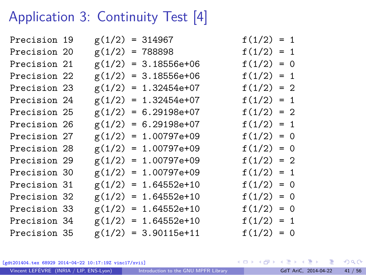# Application 3: Continuity Test [4]

| Precision 19 |  | $g(1/2) = 314967$      | $f(1/2) = 1$ |  |
|--------------|--|------------------------|--------------|--|
| Precision 20 |  | $g(1/2) = 788898$      | $f(1/2) = 1$ |  |
| Precision 21 |  | $g(1/2) = 3.18556e+06$ | $f(1/2) = 0$ |  |
| Precision 22 |  | $g(1/2) = 3.18556e+06$ | $f(1/2) = 1$ |  |
| Precision 23 |  | $g(1/2) = 1.32454e+07$ | $f(1/2) = 2$ |  |
| Precision 24 |  | $g(1/2) = 1.32454e+07$ | $f(1/2) = 1$ |  |
| Precision 25 |  | $g(1/2) = 6.29198e+07$ | $f(1/2) = 2$ |  |
| Precision 26 |  | $g(1/2) = 6.29198e+07$ | $f(1/2) = 1$ |  |
| Precision 27 |  | $g(1/2) = 1.00797e+09$ | $f(1/2) = 0$ |  |
| Precision 28 |  | $g(1/2) = 1.00797e+09$ | $f(1/2) = 0$ |  |
| Precision 29 |  | $g(1/2) = 1.00797e+09$ | $f(1/2) = 2$ |  |
| Precision 30 |  | $g(1/2) = 1.00797e+09$ | $f(1/2) = 1$ |  |
| Precision 31 |  | $g(1/2) = 1.64552e+10$ | $f(1/2) = 0$ |  |
| Precision 32 |  | $g(1/2) = 1.64552e+10$ | $f(1/2) = 0$ |  |
| Precision 33 |  | $g(1/2) = 1.64552e+10$ | $f(1/2) = 0$ |  |
| Precision 34 |  | $g(1/2) = 1.64552e+10$ | $f(1/2) = 1$ |  |
| Precision 35 |  | $g(1/2) = 3.90115e+11$ | $f(1/2) = 0$ |  |
|              |  |                        |              |  |

[gdt201404.tex 68929 2014-04-22 10:17:19Z vinc17/xvii]

活

 $299$ 

イロト イ御 トイミトイ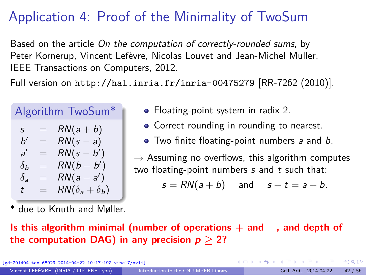# Application 4: Proof of the Minimality of TwoSum

Based on the article On the computation of correctly-rounded sums, by Peter Kornerup, Vincent Lefèvre, Nicolas Louvet and Jean-Michel Muller, IEEE Transactions on Computers, 2012.

Full version on <http://hal.inria.fr/inria-00475279> [RR-7262 (2010)].

#### Algorithm TwoSum\*  $DM(1 + b)$

| S                     | ᆖ   | $KIV(A+D)$              |
|-----------------------|-----|-------------------------|
| b'                    | $=$ | $RN(s-a)$               |
| a'                    | $=$ | $RN(s-b')$              |
| $\delta_b$            | $=$ | $RN(b-b')$              |
| $\delta_{\mathbf{a}}$ | $=$ | $RN(a-a')$              |
| t                     | $=$ | $RN(\delta_a+\delta_b)$ |
|                       |     |                         |

- Floating-point system in radix 2.
- Correct rounding in rounding to nearest.
- Two finite floating-point numbers a and b.

 $\rightarrow$  Assuming no overflows, this algorithm computes two floating-point numbers  $s$  and  $t$  such that:

 $s = RN(a + b)$  and  $s + t = a + b$ .

due to Knuth and Møller.

#### **Is this algorithm minimal (number of operations + and −, and depth of the computation DAG) in any precision**  $p > 2$ **?**

ex 68929 2014-04-22 10:17:19Z vinc17/xviil

 $\Omega$ 

イロト イ押ト イヨト イヨト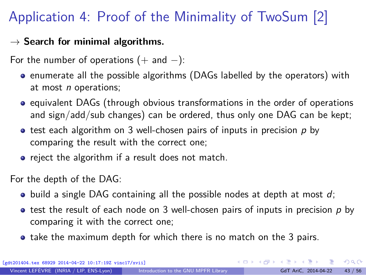# Application 4: Proof of the Minimality of TwoSum [2]

#### → **Search for minimal algorithms.**

For the number of operations  $(+)$  and  $-)$ :

- **•** enumerate all the possible algorithms (DAGs labelled by the operators) with at most *n* operations;
- equivalent DAGs (through obvious transformations in the order of operations and sign/add/sub changes) can be ordered, thus only one DAG can be kept;
- $\bullet$  test each algorithm on 3 well-chosen pairs of inputs in precision p by comparing the result with the correct one;
- reject the algorithm if a result does not match.

For the depth of the DAG:

- $\bullet$  build a single DAG containing all the possible nodes at depth at most d;
- $\bullet$  test the result of each node on 3 well-chosen pairs of inputs in precision p by comparing it with the correct one;
- take the maximum depth for which there is no match on the 3 pairs.

[gdt201404.tex 68929 2014-04-22 10:17:19Z vinc17/xvii]

 $\Omega$ 

 $A \equiv \begin{pmatrix} 1 & 0 & 0 \\ 0 & 1 & 0 \\ 0 & 0 & 0 \end{pmatrix} \in A \Rightarrow A \equiv \begin{pmatrix} 1 & 0 & 0 \\ 0 & 1 & 0 \\ 0 & 0 & 0 \end{pmatrix} \in A$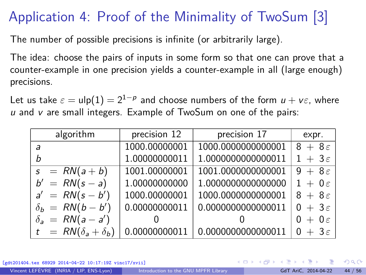# Application 4: Proof of the Minimality of TwoSum [3]

The number of possible precisions is infinite (or arbitrarily large).

The idea: choose the pairs of inputs in some form so that one can prove that a counter-example in one precision yields a counter-example in all (large enough) precisions.

Let us take  $\varepsilon = \mathsf{ulp}(1) = 2^{1-p}$  and choose numbers of the form  $u + v \varepsilon$ , where  $u$  and  $v$  are small integers. Example of TwoSum on one of the pairs:

| algorithm                     | precision 12  | precision 17       | expr.               |  |  |
|-------------------------------|---------------|--------------------|---------------------|--|--|
| a                             | 1000.00000001 | 1000.0000000000001 | $8+8\varepsilon$    |  |  |
| h                             | 1.00000000011 | 1.0000000000000011 | $1 + 3\varepsilon$  |  |  |
| $s = RN(a + b)$               | 1001.00000001 | 1001.0000000000001 | $9 + 8\epsilon$     |  |  |
| $b' = RN(s - a)$              | 1.00000000000 | 1.0000000000000000 | $1 + 0 \varepsilon$ |  |  |
| $a' = RN(s - b')$             | 1000.00000001 | 1000.0000000000001 | $8+8\varepsilon$    |  |  |
| $\delta_b$ = RN(b – b')       | 0.00000000011 | 0.0000000000000011 | $0 + 3\varepsilon$  |  |  |
| $\delta_a = RN(a-a')$         |               |                    | $0 + 0 \varepsilon$ |  |  |
| $t = RN(\delta_a + \delta_b)$ | 0.00000000011 | 0.0000000000000011 | $0 + 3\varepsilon$  |  |  |

x 68929 2014-04-22 10:17:19Z vinc17/xviil

 $\Omega$ 

イロト イ押 トイヨ トイヨト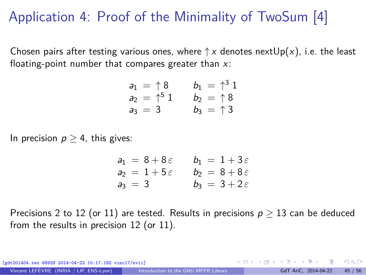# Application 4: Proof of the Minimality of TwoSum [4]

Chosen pairs after testing various ones, where  $\uparrow x$  denotes next $Up(x)$ , i.e. the least floating-point number that compares greater than  $x$ :

$$
a_1 = \uparrow 8
$$
  $b_1 = \uparrow^3 1$   
\n $a_2 = \uparrow^5 1$   $b_2 = \uparrow 8$   
\n $a_3 = 3$   $b_3 = \uparrow 3$ 

In precision  $p \geq 4$ , this gives:

$$
a_1 = 8 + 8\varepsilon \qquad b_1 = 1 + 3\varepsilon
$$
  
\n
$$
a_2 = 1 + 5\varepsilon \qquad b_2 = 8 + 8\varepsilon
$$
  
\n
$$
a_3 = 3 \qquad b_3 = 3 + 2\varepsilon
$$

Precisions 2 to 12 (or 11) are tested. Results in precisions  $p \ge 13$  can be deduced from the results in precision 12 (or 11).

 $\mathbf{A} \sqsubseteq \mathbf{B} \rightarrow \mathbf{A} \boxplus \mathbf{B} \rightarrow \mathbf{A} \boxplus \mathbf{B} \rightarrow \mathbf{A} \boxplus \mathbf{B}$ [gdt201404.tex 68929 2014-04-22 10:17:19Z vinc17/xvii]  $\Omega$ Vincent LEFÈVRE (INRIA / LIP, ENS-Lyon) [Introduction to the GNU MPFR Library](#page-0-0) GdT AriC, 2014-04-22 45 / 56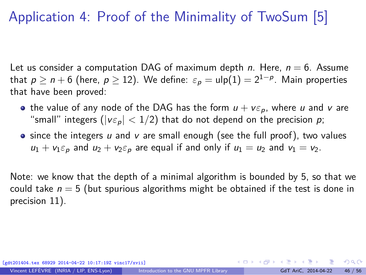# Application 4: Proof of the Minimality of TwoSum [5]

Let us consider a computation DAG of maximum depth n. Here,  $n = 6$ . Assume that  $p \geq n+6$  (here,  $p \geq 12$ ). We define:  $\varepsilon_p = \mathsf{ulp}(1) = 2^{1-p}.$  Main properties that have been proved:

- the value of any node of the DAG has the form  $u + v \varepsilon_p$ , where u and v are "small" integers ( $|v \varepsilon_p|$  < 1/2) that do not depend on the precision p;
- $\bullet$  since the integers u and v are small enough (see the full proof), two values  $u_1 + v_1 \varepsilon_p$  and  $u_2 + v_2 \varepsilon_p$  are equal if and only if  $u_1 = u_2$  and  $v_1 = v_2$ .

Note: we know that the depth of a minimal algorithm is bounded by 5, so that we could take  $n = 5$  (but spurious algorithms might be obtained if the test is done in precision 11).

(g) 68929 2014-04-22 10:17:19Z vinc17/xviil

 $\Omega$ 

 $\left\{ \begin{array}{ccc} 1 & 0 & 0 \\ 0 & 1 & 0 \end{array} \right.$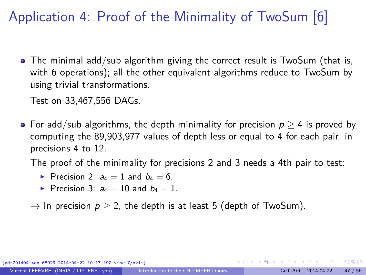# Application 4: Proof of the Minimality of TwoSum [6]

• The minimal add/sub algorithm giving the correct result is TwoSum (that is, with 6 operations); all the other equivalent algorithms reduce to TwoSum by using trivial transformations.

Test on 33,467,556 DAGs.

• For add/sub algorithms, the depth minimality for precision  $p > 4$  is proved by computing the 89,903,977 values of depth less or equal to 4 for each pair, in precisions 4 to 12.

The proof of the minimality for precisions 2 and 3 needs a 4th pair to test:

- Precision 2:  $a_4 = 1$  and  $b_4 = 6$ .
- Precision 3:  $a_4 = 10$  and  $b_4 = 1$ .

 $\rightarrow$  In precision  $p > 2$ , the depth is at least 5 (depth of TwoSum).

 $x$  68929 2014-04-22 10:17:19Z vinc17/xvii]

 $\Omega$ 

 $\left\{ \begin{array}{ccc} 1 & 0 & 0 \\ 0 & 1 & 0 \end{array} \right.$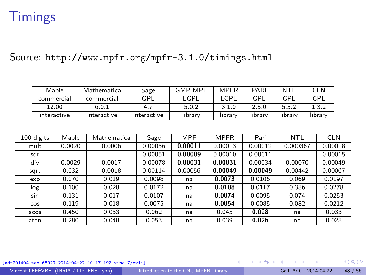### <span id="page-56-0"></span>**Timings**

Source: <http://www.mpfr.org/mpfr-3.1.0/timings.html>

| Maple       | Mathematica | Sage        | <b>GMP MPF</b> | <b>MPFR</b> | PARI    | NTI     | CLN     |
|-------------|-------------|-------------|----------------|-------------|---------|---------|---------|
| commercial  | commercial  | GPL         | _GPL           | _GPL        | GPI     | GPI     | GPL     |
| 12.00       | 6.0.1       | 4.          | 5.0.2          | 3.1.0       | 2.5.0   | 5.5.2   |         |
| interactive | interactive | interactive | library        | library     | library | library | library |

| 100 digits | Maple  | Mathematica | Sage    | <b>MPF</b> | <b>MPFR</b> | Pari    | NTL      | <b>CLN</b> |
|------------|--------|-------------|---------|------------|-------------|---------|----------|------------|
| mult       | 0.0020 | 0.0006      | 0.00056 | 0.00011    | 0.00013     | 0.00012 | 0.000367 | 0.00018    |
| sqr        |        |             | 0.00051 | 0.00009    | 0.00010     | 0.00011 |          | 0.00015    |
| div        | 0.0029 | 0.0017      | 0.00078 | 0.00031    | 0.00031     | 0.00034 | 0.00070  | 0.00049    |
| sqrt       | 0.032  | 0.0018      | 0.00114 | 0.00056    | 0.00049     | 0.00049 | 0.00442  | 0.00067    |
| exp        | 0.070  | 0.019       | 0.0098  | na         | 0.0073      | 0.0106  | 0.069    | 0.0197     |
| log        | 0.100  | 0.028       | 0.0172  | na         | 0.0108      | 0.0117  | 0.386    | 0.0278     |
| sin        | 0.131  | 0.017       | 0.0107  | na         | 0.0074      | 0.0095  | 0.074    | 0.0253     |
| <b>COS</b> | 0.119  | 0.018       | 0.0075  | na         | 0.0054      | 0.0085  | 0.082    | 0.0212     |
| acos       | 0.450  | 0.053       | 0.062   | na         | 0.045       | 0.028   | na       | 0.033      |
| atan       | 0.280  | 0.048       | 0.053   | na         | 0.039       | 0.026   | na       | 0.028      |

[gdt201404.tex 68929 2014-04-22 10:17:19Z vinc17/xvii]

メロメ メ御 メメ ヨメ メヨメ 造

Vincent LEFÈVRE (INRIA / LIP, ENS-Lyon) [Introduction to the GNU MPFR Library](#page-0-0) GdT AriC, 2014-04-22 48 / 56

 $299$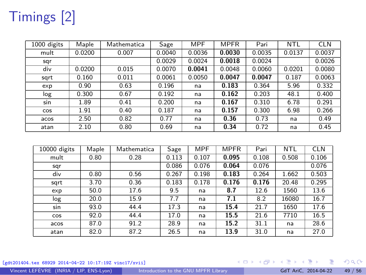# Timings [2]

| 1000 digits | Maple  | Mathematica | Sage   | <b>MPF</b> | <b>MPFR</b> | Pari   | NTL    | <b>CLN</b> |
|-------------|--------|-------------|--------|------------|-------------|--------|--------|------------|
| mult        | 0.0200 | 0.007       | 0.0040 | 0.0036     | 0.0030      | 0.0035 | 0.0137 | 0.0037     |
| sqr         |        |             | 0.0029 | 0.0024     | 0.0018      | 0.0024 |        | 0.0026     |
| div         | 0.0200 | 0.015       | 0.0070 | 0.0041     | 0.0048      | 0.0060 | 0.0201 | 0.0080     |
| sqrt        | 0.160  | 0.011       | 0.0061 | 0.0050     | 0.0047      | 0.0047 | 0.187  | 0.0063     |
| exp         | 0.90   | 0.63        | 0.196  | na         | 0.183       | 0.364  | 5.96   | 0.332      |
| log         | 0.300  | 0.67        | 0.192  | na         | 0.162       | 0.203  | 48.1   | 0.400      |
| sin         | 1.89   | 0.41        | 0.200  | na         | 0.167       | 0.310  | 6.78   | 0.291      |
| <b>COS</b>  | 1.91   | 0.40        | 0.187  | na         | 0.157       | 0.300  | 6.98   | 0.266      |
| acos        | 2.50   | 0.82        | 0.77   | na         | 0.36        | 0.73   | na     | 0.49       |
| atan        | 2.10   | 0.80        | 0.69   | na         | 0.34        | 0.72   | na     | 0.45       |

| 10000 digits | Maple | Mathematica | Sage  | MPF   | <b>MPFR</b> | Pari  | NTL   | <b>CLN</b> |
|--------------|-------|-------------|-------|-------|-------------|-------|-------|------------|
| mult         | 0.80  | 0.28        | 0.113 | 0.107 | 0.095       | 0.108 | 0.508 | 0.106      |
| sqr          |       |             | 0.086 | 0.076 | 0.064       | 0.076 |       | 0.076      |
| div          | 0.80  | 0.56        | 0.267 | 0.198 | 0.183       | 0.264 | 1.662 | 0.503      |
| sqrt         | 3.70  | 0.36        | 0.183 | 0.178 | 0.176       | 0.176 | 20.48 | 0.295      |
| exp          | 50.0  | 17.6        | 9.5   | na    | 8.7         | 12.6  | 1560  | 13.6       |
| log          | 20.0  | 15.9        | 7.7   | na    | 7.1         | 8.2   | 16080 | 16.7       |
| sin          | 93.0  | 44.4        | 17.3  | na    | 15.4        | 21.7  | 1650  | 17.6       |
| <b>COS</b>   | 92.0  | 44.4        | 17.0  | na    | 15.5        | 21.6  | 7710  | 16.5       |
| acos         | 87.0  | 91.2        | 28.9  | na    | 15.2        | 31.1  | na    | 28.6       |
| atan         | 82.0  | 87.2        | 26.5  | na    | 13.9        | 31.0  | na    | 27.0       |

[gdt201404.tex 68929 2014-04-22 10:17:19Z vinc17/xvii]

メロメメ 倒 メメ ミメメ ミメ 重  $299$ 

Vincent LEFÈVRE (INRIA / LIP, ENS-Lyon) [Introduction to the GNU MPFR Library](#page-0-0) GdT AriC, 2014-04-22 49 / 56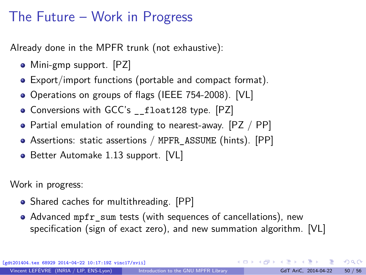### <span id="page-58-0"></span>The Future – Work in Progress

Already done in the MPFR trunk (not exhaustive):

- Mini-gmp support. [PZ]
- Export/import functions (portable and compact format).
- Operations on groups of flags (IEEE 754-2008). [VL]
- Conversions with GCC's \_float128 type. [PZ]
- Partial emulation of rounding to nearest-away.  $[PZ / PP]$
- Assertions: static assertions / MPFR\_ASSUME (hints). [PP]
- Better Automake 1.13 support. [VL]

Work in progress:

- Shared caches for multithreading. [PP]
- Advanced mpfr\_sum tests (with sequences of cancellations), new specification (sign of exact zero), and new summation algorithm. [VL]

[gdt201404.tex 68929 2014-04-22 10:17:19Z vinc17/xvii]

 $\Omega$ 

イロト イ押ト イヨト イヨトー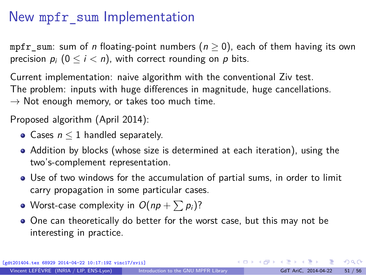# New mpfr\_sum Implementation

mpfr\_sum: sum of n floating-point numbers ( $n \ge 0$ ), each of them having its own precision  $p_i$   $(0 \le i < n)$ , with correct rounding on p bits.

Current implementation: naive algorithm with the conventional Ziv test. The problem: inputs with huge differences in magnitude, huge cancellations.  $\rightarrow$  Not enough memory, or takes too much time.

Proposed algorithm (April 2014):

- Cases  $n < 1$  handled separately.
- Addition by blocks (whose size is determined at each iteration), using the two's-complement representation.
- Use of two windows for the accumulation of partial sums, in order to limit carry propagation in some particular cases.
- Worst-case complexity in  $O(np + \sum p_i)$ ?
- One can theoretically do better for the worst case, but this may not be interesting in practice.

[gdt201404.tex 68929 2014-04-22 10:17:19Z vinc17/xvii]

 $\Omega$ 

イロト イ部 トメ きょく きょうき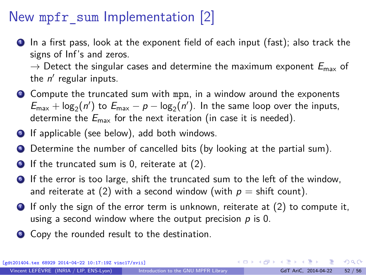# New mpfr\_sum Implementation [2]

<sup>1</sup> In a first pass, look at the exponent field of each input (fast); also track the signs of Inf's and zeros.

 $\rightarrow$  Detect the singular cases and determine the maximum exponent  $E_{\text{max}}$  of the  $n'$  regular inputs.

- **2** Compute the truncated sum with mpn, in a window around the exponents  $E_{\text{max}} + \log_2(n')$  to  $E_{\text{max}} - p - \log_2(n')$ . In the same loop over the inputs, determine the  $E_{\text{max}}$  for the next iteration (in case it is needed).
- **3** If applicable (see below), add both windows.
- **4** Determine the number of cancelled bits (by looking at the partial sum).
- $\bullet$  If the truncated sum is 0, reiterate at (2).
- <sup>6</sup> If the error is too large, shift the truncated sum to the left of the window, and reiterate at (2) with a second window (with  $p = \text{shift count}$ ).
- $\bullet$  If only the sign of the error term is unknown, reiterate at (2) to compute it, using a second window where the output precision  $p$  is 0.
- <sup>8</sup> Copy the rounded result to the destination.

 $\frac{1}{2}$  68929 2014-04-22 10:17:19Z vinc17/xviil

 $QQ$ 

K ロ > K 個 > K 코 > K 코 > H 코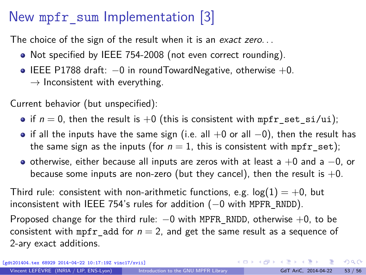# New mpfr\_sum Implementation [3]

The choice of the sign of the result when it is an exact zero...

- Not specified by IEEE 754-2008 (not even correct rounding).
- $\bullet$  IEEE P1788 draft:  $-0$  in roundTowardNegative, otherwise  $+0$ .  $\rightarrow$  Inconsistent with everything.

Current behavior (but unspecified):

- if  $n = 0$ , then the result is  $+0$  (this is consistent with mpfr\_set\_si/ui);
- if all the inputs have the same sign (i.e. all  $+0$  or all  $-0$ ), then the result has the same sign as the inputs (for  $n = 1$ , this is consistent with mpfr set);
- o otherwise, either because all inputs are zeros with at least a  $+0$  and a  $-0$ , or because some inputs are non-zero (but they cancel), then the result is  $+0$ .

Third rule: consistent with non-arithmetic functions, e.g.  $log(1) = +0$ , but inconsistent with IEEE 754's rules for addition (−0 with MPFR\_RNDD).

Proposed change for the third rule:  $-0$  with MPFR\_RNDD, otherwise  $+0$ , to be consistent with mpfr add for  $n = 2$ , and get the same result as a sequence of 2-ary exact additions.

[gdt201404.tex 68929 2014-04-22 10:17:19Z vinc17/xvii]

 $299$ 

K ロ > K @ > K 경 > K 경 > 시 경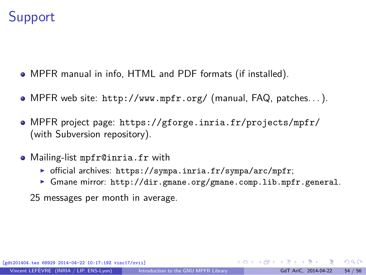### <span id="page-62-0"></span>**Support**

- MPFR manual in info, HTML and PDF formats (if installed).
- MPFR web site: <http://www.mpfr.org/> (manual, FAQ, patches. . . ).
- MPFR project page: <https://gforge.inria.fr/projects/mpfr/> (with Subversion repository).
- Mailing-list mpfr@inria.fr with
	- ▶ official archives: <https://sympa.inria.fr/sympa/arc/mpfr>;
	- ▶ Gmane mirror: <http://dir.gmane.org/gmane.comp.lib.mpfr.general>.
	- 25 messages per month in average.

 $\Omega$ 

 $\left\{ \begin{array}{ccc} 1 & 0 & 0 \\ 0 & 1 & 0 \end{array} \right.$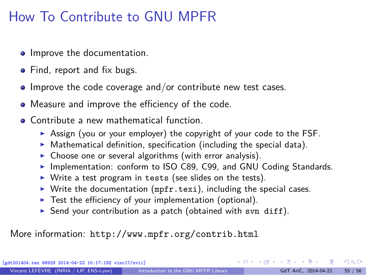# How To Contribute to GNU MPFR

- **•** Improve the documentation.
- Find, report and fix bugs.
- $\bullet$  Improve the code coverage and/or contribute new test cases.
- Measure and improve the efficiency of the code.
- Contribute a new mathematical function.
	- ▶ Assign (you or your employer) the copyright of your code to the FSF.
	- $\triangleright$  Mathematical definition, specification (including the special data).
	- $\triangleright$  Choose one or several algorithms (with error analysis).
	- ▶ Implementation: conform to ISO C89, C99, and GNU Coding Standards.
	- $\triangleright$  Write a test program in tests (see slides on the tests).
	- $\triangleright$  Write the documentation (mpfr.texi), including the special cases.
	- $\blacktriangleright$  Test the efficiency of your implementation (optional).
	- Send your contribution as a patch (obtained with svn diff).

More information: <http://www.mpfr.org/contrib.html>

[gdt201404.tex 68929 2014-04-22 10:17:19Z vinc17/xvii]

 $\Omega$ 

 $\mathbf{A} \sqsubseteq \mathbf{B} \rightarrow \mathbf{A} \boxplus \mathbf{B} \rightarrow \mathbf{A} \boxplus \mathbf{B} \rightarrow \mathbf{A} \boxplus \mathbf{B}$